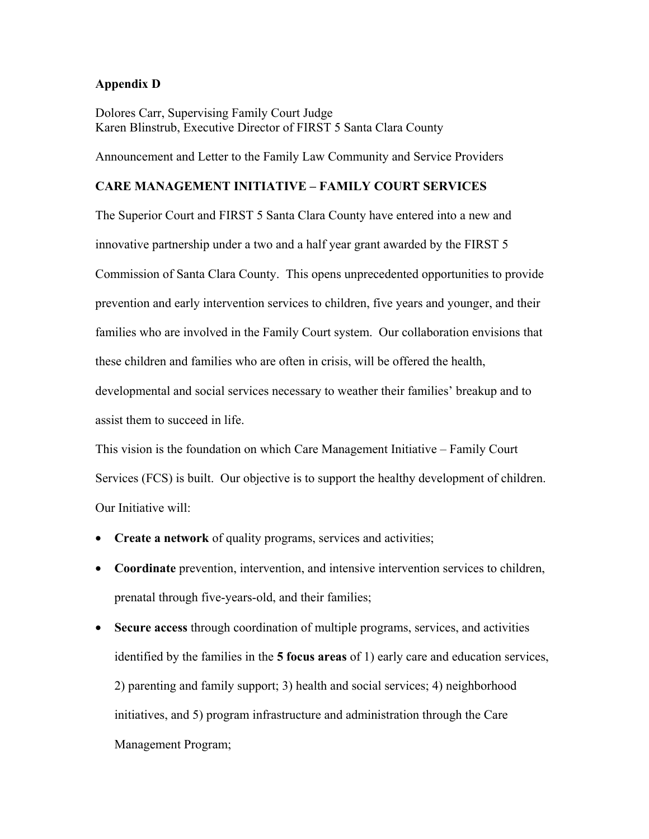## **Appendix D**

Dolores Carr, Supervising Family Court Judge Karen Blinstrub, Executive Director of FIRST 5 Santa Clara County

Announcement and Letter to the Family Law Community and Service Providers

## **CARE MANAGEMENT INITIATIVE – FAMILY COURT SERVICES**

The Superior Court and FIRST 5 Santa Clara County have entered into a new and innovative partnership under a two and a half year grant awarded by the FIRST 5 Commission of Santa Clara County. This opens unprecedented opportunities to provide prevention and early intervention services to children, five years and younger, and their families who are involved in the Family Court system. Our collaboration envisions that these children and families who are often in crisis, will be offered the health, developmental and social services necessary to weather their families' breakup and to

assist them to succeed in life.

This vision is the foundation on which Care Management Initiative – Family Court Services (FCS) is built. Our objective is to support the healthy development of children. Our Initiative will:

- **Create a network** of quality programs, services and activities;
- **Coordinate** prevention, intervention, and intensive intervention services to children, prenatal through five-years-old, and their families;
- **Secure access** through coordination of multiple programs, services, and activities identified by the families in the **5 focus areas** of 1) early care and education services, 2) parenting and family support; 3) health and social services; 4) neighborhood initiatives, and 5) program infrastructure and administration through the Care Management Program;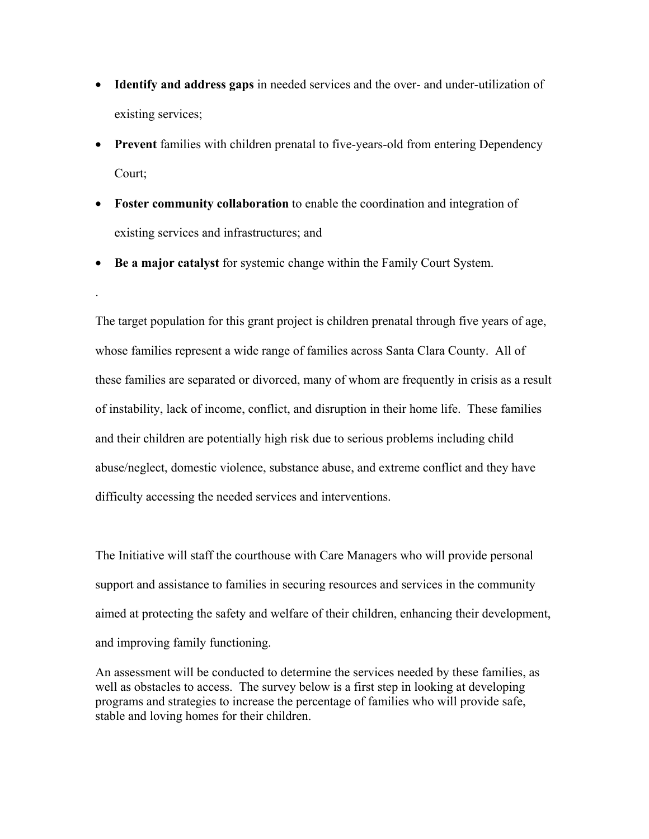- **Identify and address gaps** in needed services and the over- and under-utilization of existing services;
- **Prevent** families with children prenatal to five-years-old from entering Dependency Court;
- **Foster community collaboration** to enable the coordination and integration of existing services and infrastructures; and
- **Be a major catalyst** for systemic change within the Family Court System.

.

The target population for this grant project is children prenatal through five years of age, whose families represent a wide range of families across Santa Clara County. All of these families are separated or divorced, many of whom are frequently in crisis as a result of instability, lack of income, conflict, and disruption in their home life. These families and their children are potentially high risk due to serious problems including child abuse/neglect, domestic violence, substance abuse, and extreme conflict and they have difficulty accessing the needed services and interventions.

The Initiative will staff the courthouse with Care Managers who will provide personal support and assistance to families in securing resources and services in the community aimed at protecting the safety and welfare of their children, enhancing their development, and improving family functioning.

An assessment will be conducted to determine the services needed by these families, as well as obstacles to access. The survey below is a first step in looking at developing programs and strategies to increase the percentage of families who will provide safe, stable and loving homes for their children.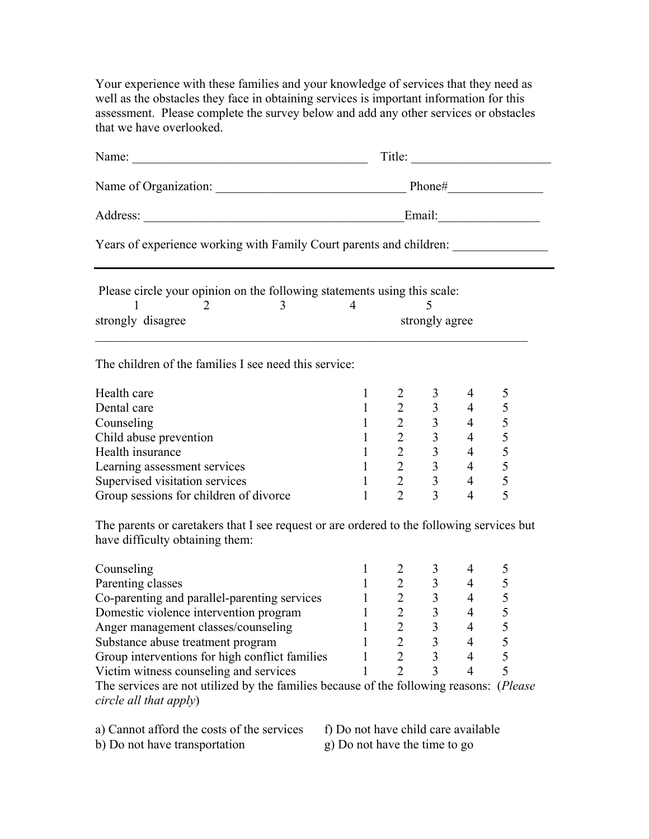Your experience with these families and your knowledge of services that they need as well as the obstacles they face in obtaining services is important information for this assessment. Please complete the survey below and add any other services or obstacles that we have overlooked.

|                                                                                                                              | Title:         |                         |                                                                                   |                |   |
|------------------------------------------------------------------------------------------------------------------------------|----------------|-------------------------|-----------------------------------------------------------------------------------|----------------|---|
|                                                                                                                              |                |                         |                                                                                   |                |   |
|                                                                                                                              |                |                         |                                                                                   |                |   |
| Years of experience working with Family Court parents and children: _____________                                            |                |                         |                                                                                   |                |   |
| Please circle your opinion on the following statements using this scale:                                                     |                |                         |                                                                                   |                |   |
| 3 <sup>7</sup><br>2                                                                                                          | $\overline{4}$ |                         |                                                                                   |                |   |
| strongly disagree                                                                                                            | strongly agree |                         |                                                                                   |                |   |
| The children of the families I see need this service:                                                                        |                |                         |                                                                                   |                |   |
| Health care                                                                                                                  | $\mathbf{1}$   | $\overline{2}$          | 3 <sup>7</sup>                                                                    | $\overline{4}$ | 5 |
| Dental care                                                                                                                  | $\mathbf{1}$   | $\overline{2}$          |                                                                                   | $3 \t 4$       | 5 |
| Counseling                                                                                                                   | $\mathbf{1}$   | $\overline{2}$          |                                                                                   | $3 \t 4$       | 5 |
| Child abuse prevention                                                                                                       | $\mathbf{1}$   | $\frac{2}{2}$           |                                                                                   | $3 \t 4$       | 5 |
| Health insurance                                                                                                             | $\mathbf{1}$   |                         |                                                                                   | $3 \t 4$       | 5 |
| Learning assessment services                                                                                                 | $\mathbf{1}$   |                         | $2 \t 3$                                                                          | $\overline{4}$ | 5 |
| Supervised visitation services                                                                                               | $\mathbf{1}$   |                         | $\begin{array}{ccc}\n2 & 3 \\ 2 & 3\n\end{array}$                                 | $\overline{4}$ | 5 |
| Group sessions for children of divorce                                                                                       | $\mathbf{1}$   |                         |                                                                                   | $\overline{4}$ | 5 |
| The parents or caretakers that I see request or are ordered to the following services but<br>have difficulty obtaining them: |                |                         |                                                                                   |                |   |
| Counseling                                                                                                                   | 1              | $\overline{2}$          | $\overline{3}$                                                                    | $\overline{4}$ | 5 |
| Parenting classes                                                                                                            |                |                         | $\begin{array}{cccc} 1 & 2 & 3 & 4 \\ 1 & 2 & 3 & 4 \\ 1 & 2 & 3 & 4 \end{array}$ |                | 5 |
| Co-parenting and parallel-parenting services                                                                                 |                |                         |                                                                                   |                | 5 |
| Domestic violence intervention program                                                                                       |                |                         |                                                                                   |                | 5 |
| Anger management classes/counseling                                                                                          |                | $\overline{\mathbf{c}}$ | 3                                                                                 | 4              | 5 |
| Substance abuse treatment program                                                                                            |                | $\overline{2}$          | 3                                                                                 | 4              | 5 |
| Group interventions for high conflict families                                                                               | L              | $\overline{2}$          | $\overline{3}$                                                                    | $\overline{4}$ | 5 |
| Victim witness counseling and services                                                                                       |                | $\overline{2}$          | 3                                                                                 | 4              | 5 |
| The services are not utilized by the families because of the following reasons: (Please<br>circle all that apply)            |                |                         |                                                                                   |                |   |

a) Cannot afford the costs of the services f) Do not have child care available b) Do not have transportation g) Do not have the time to go

 $\phi$ ) Do not have transportation